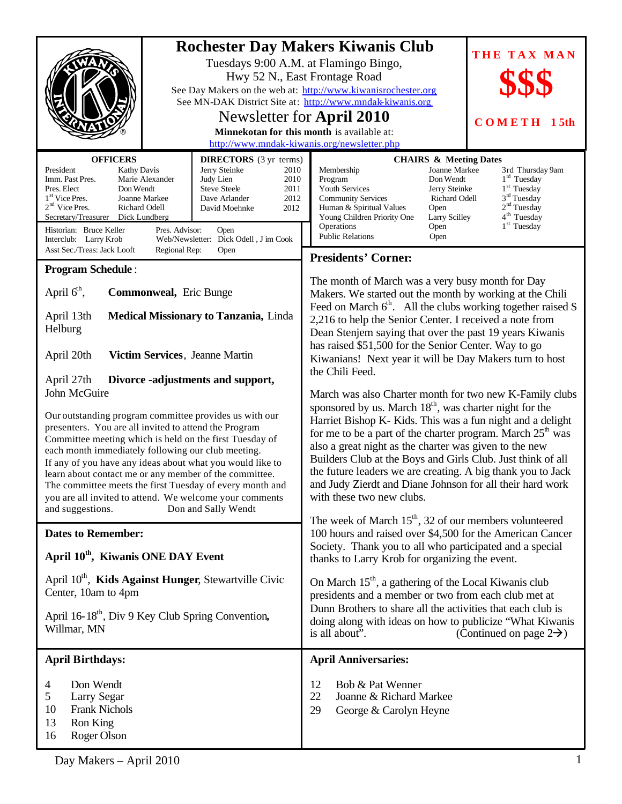|                                                                                                                                                                                                                                                                                                                                                                                                                                                                                                                                           |                                      | <b>Rochester Day Makers Kiwanis Club</b><br>THE TAX MAN<br>Tuesdays 9:00 A.M. at Flamingo Bingo,<br>Hwy 52 N., East Frontage Road<br>See Day Makers on the web at: http://www.kiwanisrochester.org<br>See MN-DAK District Site at: http://www.mndak-kiwanis.org<br>Newsletter for April 2010<br><b>COMETH</b><br><b>15th</b><br>Minnekotan for this month is available at:<br>http://www.mndak-kiwanis.org/newsletter.php                                                                                                                                                                                                                                                                                                                                                                                                                                                                                                                                                                                                                                |
|-------------------------------------------------------------------------------------------------------------------------------------------------------------------------------------------------------------------------------------------------------------------------------------------------------------------------------------------------------------------------------------------------------------------------------------------------------------------------------------------------------------------------------------------|--------------------------------------|----------------------------------------------------------------------------------------------------------------------------------------------------------------------------------------------------------------------------------------------------------------------------------------------------------------------------------------------------------------------------------------------------------------------------------------------------------------------------------------------------------------------------------------------------------------------------------------------------------------------------------------------------------------------------------------------------------------------------------------------------------------------------------------------------------------------------------------------------------------------------------------------------------------------------------------------------------------------------------------------------------------------------------------------------------|
| <b>OFFICERS</b><br><b>DIRECTORS</b> (3 yr terms)<br>Jerry Steinke<br>President<br><b>Kathy Davis</b><br>Imm. Past Pres.<br>Marie Alexander<br>Judy Lien<br><b>Steve Steele</b><br>Pres. Elect<br>Don Wendt<br>1 <sup>st</sup> Vice Pres.<br>Joanne Markee<br>Dave Arlander<br>$2nd$ Vice Pres.<br>Richard Odell<br>David Moehnke<br>Secretary/Treasurer<br>Dick Lundberg<br>Historian: Bruce Keller<br>Pres. Advisor:<br><b>Open</b><br>Web/Newsletter: Dick Odell, J im Cook<br>Interclub: Larry Krob                                    | 2010<br>2010<br>2011<br>2012<br>2012 | <b>CHAIRS &amp; Meeting Dates</b><br>Joanne Markee<br>Membership<br>3rd Thursday 9am<br>1 <sup>rd</sup> Tuesday<br>Don Wendt<br>Program<br>1 <sup>st</sup> Tuesday<br><b>Youth Services</b><br>Jerry Steinke<br>3 <sup>rd</sup> Tuesday<br>Richard Odell<br><b>Community Services</b><br>2 <sup>nd</sup> Tuesday<br>Human & Spiritual Values<br>Open<br>4 <sup>th</sup> Tuesday<br>Young Children Priority One<br>Larry Scilley<br>$1st$ Tuesday<br>Operations<br>Open<br><b>Public Relations</b><br>Open                                                                                                                                                                                                                                                                                                                                                                                                                                                                                                                                                |
| Asst Sec./Treas: Jack Looft<br>Regional Rep:<br>Open                                                                                                                                                                                                                                                                                                                                                                                                                                                                                      |                                      | <b>Presidents' Corner:</b>                                                                                                                                                                                                                                                                                                                                                                                                                                                                                                                                                                                                                                                                                                                                                                                                                                                                                                                                                                                                                               |
| <b>Program Schedule:</b>                                                                                                                                                                                                                                                                                                                                                                                                                                                                                                                  |                                      |                                                                                                                                                                                                                                                                                                                                                                                                                                                                                                                                                                                                                                                                                                                                                                                                                                                                                                                                                                                                                                                          |
| April $6th$ ,<br>Commonweal, Eric Bunge<br>April 13th<br><b>Medical Missionary to Tanzania, Linda</b><br>Helburg<br>April 20th<br>Victim Services, Jeanne Martin<br>April 27th<br>Divorce -adjustments and support,                                                                                                                                                                                                                                                                                                                       |                                      | The month of March was a very busy month for Day<br>Makers. We started out the month by working at the Chili<br>Feed on March $6th$ . All the clubs working together raised \$<br>2,216 to help the Senior Center. I received a note from<br>Dean Stenjem saying that over the past 19 years Kiwanis<br>has raised \$51,500 for the Senior Center. Way to go<br>Kiwanians! Next year it will be Day Makers turn to host<br>the Chili Feed.<br>March was also Charter month for two new K-Family clubs<br>sponsored by us. March 18 <sup>th</sup> , was charter night for the<br>Harriet Bishop K- Kids. This was a fun night and a delight<br>for me to be a part of the charter program. March $25th$ was<br>also a great night as the charter was given to the new<br>Builders Club at the Boys and Girls Club. Just think of all<br>the future leaders we are creating. A big thank you to Jack<br>and Judy Zierdt and Diane Johnson for all their hard work<br>with these two new clubs.<br>The week of March $15th$ , 32 of our members volunteered |
| John McGuire<br>Our outstanding program committee provides us with our<br>presenters. You are all invited to attend the Program<br>Committee meeting which is held on the first Tuesday of<br>each month immediately following our club meeting.<br>If any of you have any ideas about what you would like to<br>learn about contact me or any member of the committee.<br>The committee meets the first Tuesday of every month and<br>you are all invited to attend. We welcome your comments<br>Don and Sally Wendt<br>and suggestions. |                                      |                                                                                                                                                                                                                                                                                                                                                                                                                                                                                                                                                                                                                                                                                                                                                                                                                                                                                                                                                                                                                                                          |
| <b>Dates to Remember:</b>                                                                                                                                                                                                                                                                                                                                                                                                                                                                                                                 |                                      | 100 hours and raised over \$4,500 for the American Cancer                                                                                                                                                                                                                                                                                                                                                                                                                                                                                                                                                                                                                                                                                                                                                                                                                                                                                                                                                                                                |
| April 10 <sup>th</sup> , Kiwanis ONE DAY Event                                                                                                                                                                                                                                                                                                                                                                                                                                                                                            |                                      | Society. Thank you to all who participated and a special<br>thanks to Larry Krob for organizing the event.                                                                                                                                                                                                                                                                                                                                                                                                                                                                                                                                                                                                                                                                                                                                                                                                                                                                                                                                               |
| April 10 <sup>th</sup> , Kids Against Hunger, Stewartville Civic<br>Center, 10am to 4pm<br>April 16-18 <sup>th</sup> , Div 9 Key Club Spring Convention,<br>Willmar, MN                                                                                                                                                                                                                                                                                                                                                                   |                                      | On March 15 <sup>th</sup> , a gathering of the Local Kiwanis club<br>presidents and a member or two from each club met at<br>Dunn Brothers to share all the activities that each club is<br>doing along with ideas on how to publicize "What Kiwanis<br>is all about".<br>(Continued on page $2\rightarrow$ )                                                                                                                                                                                                                                                                                                                                                                                                                                                                                                                                                                                                                                                                                                                                            |
| <b>April Birthdays:</b>                                                                                                                                                                                                                                                                                                                                                                                                                                                                                                                   |                                      | <b>April Anniversaries:</b>                                                                                                                                                                                                                                                                                                                                                                                                                                                                                                                                                                                                                                                                                                                                                                                                                                                                                                                                                                                                                              |
| Don Wendt<br>4<br>5<br>Larry Segar<br><b>Frank Nichols</b><br>10<br>13<br>Ron King<br>16<br>Roger Olson                                                                                                                                                                                                                                                                                                                                                                                                                                   |                                      | Bob & Pat Wenner<br>12<br>22<br>Joanne & Richard Markee<br>29<br>George & Carolyn Heyne                                                                                                                                                                                                                                                                                                                                                                                                                                                                                                                                                                                                                                                                                                                                                                                                                                                                                                                                                                  |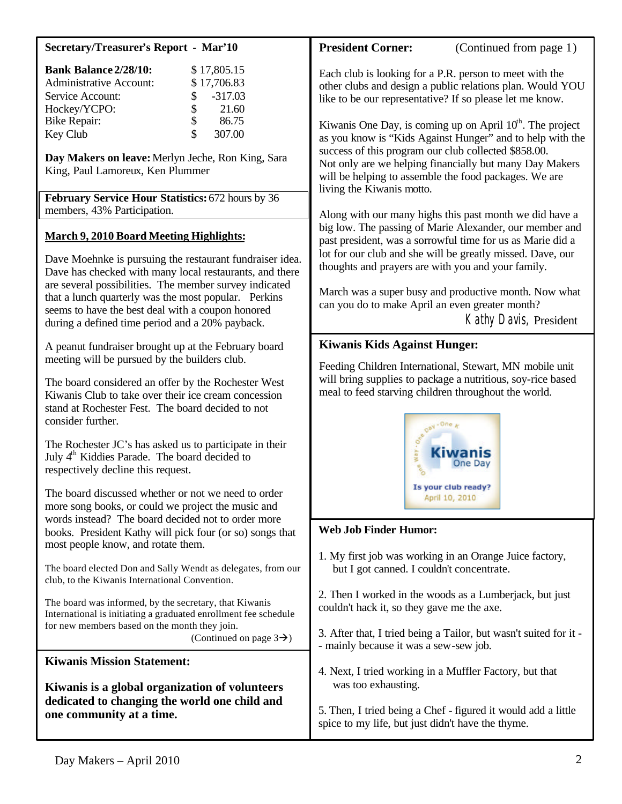| <b>Secretary/Treasurer's Report - Mar'10</b>                                                                                                                                                                                                                                                                                                                                                    | <b>President Corner:</b><br>(Continued from page 1)                                                                                                                                                                                                                                                                                                                             |
|-------------------------------------------------------------------------------------------------------------------------------------------------------------------------------------------------------------------------------------------------------------------------------------------------------------------------------------------------------------------------------------------------|---------------------------------------------------------------------------------------------------------------------------------------------------------------------------------------------------------------------------------------------------------------------------------------------------------------------------------------------------------------------------------|
| <b>Bank Balance 2/28/10:</b><br>\$17,805.15<br>\$17,706.83<br><b>Administrative Account:</b><br>$-317.03$<br>Service Account:<br>\$<br>\$<br>Hockey/YCPO:<br>21.60<br>\$<br><b>Bike Repair:</b><br>86.75<br>$\hat{S}$<br>307.00<br>Key Club<br>Day Makers on leave: Merlyn Jeche, Ron King, Sara                                                                                                | Each club is looking for a P.R. person to meet with the<br>other clubs and design a public relations plan. Would YOU<br>like to be our representative? If so please let me know.<br>Kiwanis One Day, is coming up on April $10th$ . The project<br>as you know is "Kids Against Hunger" and to help with the<br>success of this program our club collected \$858.00.            |
| King, Paul Lamoreux, Ken Plummer<br>February Service Hour Statistics: 672 hours by 36                                                                                                                                                                                                                                                                                                           | Not only are we helping financially but many Day Makers<br>will be helping to assemble the food packages. We are<br>living the Kiwanis motto.                                                                                                                                                                                                                                   |
| members, 43% Participation.                                                                                                                                                                                                                                                                                                                                                                     | Along with our many highs this past month we did have a                                                                                                                                                                                                                                                                                                                         |
| <b>March 9, 2010 Board Meeting Highlights:</b><br>Dave Moehnke is pursuing the restaurant fundraiser idea.<br>Dave has checked with many local restaurants, and there<br>are several possibilities. The member survey indicated<br>that a lunch quarterly was the most popular. Perkins<br>seems to have the best deal with a coupon honored<br>during a defined time period and a 20% payback. | big low. The passing of Marie Alexander, our member and<br>past president, was a sorrowful time for us as Marie did a<br>lot for our club and she will be greatly missed. Dave, our<br>thoughts and prayers are with you and your family.<br>March was a super busy and productive month. Now what<br>can you do to make April an even greater month?<br>Kathy Davis, President |
| A peanut fundraiser brought up at the February board                                                                                                                                                                                                                                                                                                                                            | <b>Kiwanis Kids Against Hunger:</b>                                                                                                                                                                                                                                                                                                                                             |
| meeting will be pursued by the builders club.<br>The board considered an offer by the Rochester West<br>Kiwanis Club to take over their ice cream concession<br>stand at Rochester Fest. The board decided to not<br>consider further.                                                                                                                                                          | Feeding Children International, Stewart, MN mobile unit<br>will bring supplies to package a nutritious, soy-rice based<br>meal to feed starving children throughout the world.<br>$Q^{BY}$ + One                                                                                                                                                                                |
| The Rochester JC's has asked us to participate in their<br>July 4 <sup>th</sup> Kiddies Parade. The board decided to<br>respectively decline this request.                                                                                                                                                                                                                                      |                                                                                                                                                                                                                                                                                                                                                                                 |
| The board discussed whether or not we need to order<br>more song books, or could we project the music and                                                                                                                                                                                                                                                                                       | Is your club ready?<br>April 10, 2010                                                                                                                                                                                                                                                                                                                                           |
| words instead? The board decided not to order more<br>books. President Kathy will pick four (or so) songs that                                                                                                                                                                                                                                                                                  | <b>Web Job Finder Humor:</b>                                                                                                                                                                                                                                                                                                                                                    |
| most people know, and rotate them.<br>The board elected Don and Sally Wendt as delegates, from our<br>club, to the Kiwanis International Convention.                                                                                                                                                                                                                                            | 1. My first job was working in an Orange Juice factory,<br>but I got canned. I couldn't concentrate.                                                                                                                                                                                                                                                                            |
| The board was informed, by the secretary, that Kiwanis<br>International is initiating a graduated enrollment fee schedule<br>for new members based on the month they join.<br>(Continued on page $3\rightarrow$ )                                                                                                                                                                               | 2. Then I worked in the woods as a Lumberjack, but just<br>couldn't hack it, so they gave me the axe.<br>3. After that, I tried being a Tailor, but wasn't suited for it -                                                                                                                                                                                                      |
|                                                                                                                                                                                                                                                                                                                                                                                                 | - mainly because it was a sew-sew job.                                                                                                                                                                                                                                                                                                                                          |
| <b>Kiwanis Mission Statement:</b><br>Kiwanis is a global organization of volunteers<br>dedicated to changing the world one child and<br>one community at a time.                                                                                                                                                                                                                                | 4. Next, I tried working in a Muffler Factory, but that<br>was too exhausting.                                                                                                                                                                                                                                                                                                  |
|                                                                                                                                                                                                                                                                                                                                                                                                 | 5. Then, I tried being a Chef - figured it would add a little<br>spice to my life, but just didn't have the thyme.                                                                                                                                                                                                                                                              |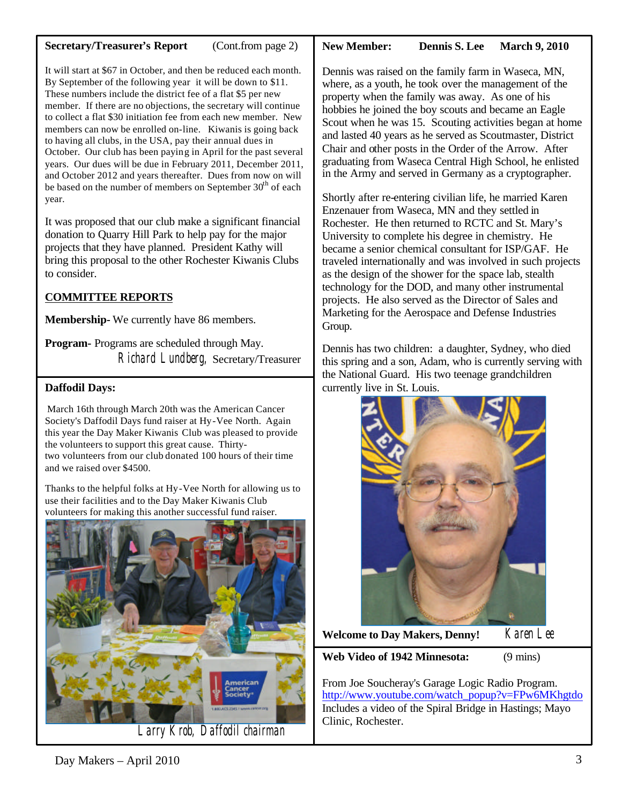### **Secretary/Treasurer's Report** (Cont.from page 2)

#### It will start at \$67 in October, and then be reduced each month. By September of the following year it will be down to \$11. These numbers include the district fee of a flat \$5 per new member. If there are no objections, the secretary will continue to collect a flat \$30 initiation fee from each new member. New members can now be enrolled on-line. Kiwanis is going back to having all clubs, in the USA, pay their annual dues in October. Our club has been paying in April for the past several years. Our dues will be due in February 2011, December 2011, and October 2012 and years thereafter. Dues from now on will

be based on the number of members on September 30<sup>th</sup> of each year. It was proposed that our club make a significant financial donation to Quarry Hill Park to help pay for the major projects that they have planned. President Kathy will bring this proposal to the other Rochester Kiwanis Clubs to consider.

# **COMMITTEE REPORTS**

**Membership-** We currently have 86 members.

**Program-** Programs are scheduled through May. Richard Lundberg, Secretary/Treasurer

### **Daffodil Days:**

March 16th through March 20th was the American Cancer Society's Daffodil Days fund raiser at Hy-Vee North. Again this year the Day Maker Kiwanis Club was pleased to provide the volunteers to support this great cause. Thirtytwo volunteers from our club donated 100 hours of their time and we raised over \$4500.

Thanks to the helpful folks at Hy-Vee North for allowing us to use their facilities and to the Day Maker Kiwanis Club volunteers for making this another successful fund raiser.



Larry Krob, Daffodil chairman

**New Member:** Dennis S. Lee March 9, 2010

Dennis was raised on the family farm in Waseca, MN, where, as a youth, he took over the management of the property when the family was away. As one of his hobbies he joined the boy scouts and became an Eagle Scout when he was 15. Scouting activities began at home and lasted 40 years as he served as Scoutmaster, District Chair and other posts in the Order of the Arrow. After graduating from Waseca Central High School, he enlisted in the Army and served in Germany as a cryptographer.

Marketing for the Aerospace and Defense Industries<br>Group Shortly after re-entering civilian life, he married Karen Enzenauer from Waseca, MN and they settled in Rochester. He then returned to RCTC and St. Mary's University to complete his degree in chemistry. He became a senior chemical consultant for ISP/GAF. He traveled internationally and was involved in such projects as the design of the shower for the space lab, stealth technology for the DOD, and many other instrumental projects. He also served as the Director of Sales and Group.

Dennis has two children: a daughter, Sydney, who died this spring and a son, Adam, who is currently serving with the National Guard. His two teenage grandchildren currently live in St. Louis.



**Welcome to Day Makers, Denny!** Karen Lee

**Web Video of 1942 Minnesota:** (9 mins)

From Joe Soucheray's Garage Logic Radio Program. [http://www.youtube.com/watch\\_popup?v=FPw6MKhgtdo](http://www.youtube.com/watch_popup?v=FPw6MKhgtdo) Includes a video of the Spiral Bridge in Hastings; Mayo Clinic, Rochester.